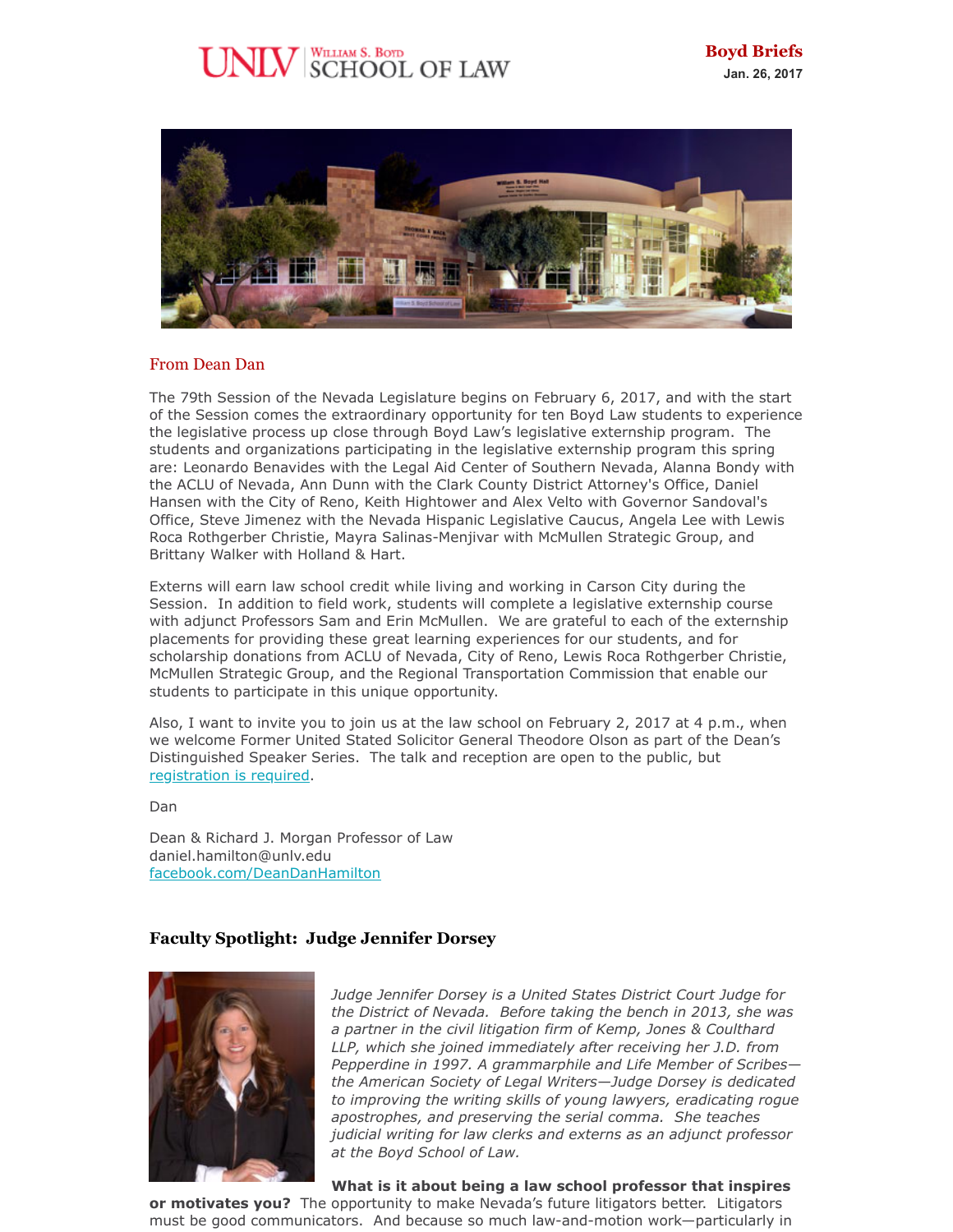# $\rm{UV}$  SCHOOL OF LAW



## From Dean Dan

The 79th Session of the Nevada Legislature begins on February 6, 2017, and with the start of the Session comes the extraordinary opportunity for ten Boyd Law students to experience the legislative process up close through Boyd Law's legislative externship program. The students and organizations participating in the legislative externship program this spring are: Leonardo Benavides with the Legal Aid Center of Southern Nevada, Alanna Bondy with the ACLU of Nevada, Ann Dunn with the Clark County District Attorney's Office, Daniel Hansen with the City of Reno, Keith Hightower and Alex Velto with Governor Sandoval's Office, Steve Jimenez with the Nevada Hispanic Legislative Caucus, Angela Lee with Lewis Roca Rothgerber Christie, Mayra Salinas-Menjivar with McMullen Strategic Group, and Brittany Walker with Holland & Hart.

Externs will earn law school credit while living and working in Carson City during the Session. In addition to field work, students will complete a legislative externship course with adjunct Professors Sam and Erin McMullen. We are grateful to each of the externship placements for providing these great learning experiences for our students, and for scholarship donations from ACLU of Nevada, City of Reno, Lewis Roca Rothgerber Christie, McMullen Strategic Group, and the Regional Transportation Commission that enable our students to participate in this unique opportunity.

Also, I want to invite you to join us at the law school on February 2, 2017 at 4 p.m., when we welcome Former United Stated Solicitor General Theodore Olson as part of the Dean's Distinguished Speaker Series. The talk and reception are open to the public, but [registration is required](https://www.eventbrite.com/e/a-discussion-with-theodore-olson-tickets-30942643279?aff=eac2).

Dan

Dean & Richard J. Morgan Professor of Law daniel.hamilton@unlv.edu [facebook.com/DeanDanHamilton](https://www.facebook.com/DeanDanHamilton)

# **Faculty Spotlight: Judge Jennifer Dorsey**



*Judge Jennifer Dorsey is a United States District Court Judge for the District of Nevada. Before taking the bench in 2013, she was a partner in the civil litigation firm of Kemp, Jones & Coulthard LLP, which she joined immediately after receiving her J.D. from Pepperdine in 1997. A grammarphile and Life Member of Scribes the American Society of Legal Writers—Judge Dorsey is dedicated to improving the writing skills of young lawyers, eradicating rogue apostrophes, and preserving the serial comma. She teaches judicial writing for law clerks and externs as an adjunct professor at the Boyd School of Law.*

**What is it about being a law school professor that inspires**

**or motivates you?** The opportunity to make Nevada's future litigators better. Litigators must be good communicators. And because so much law-and-motion work—particularly in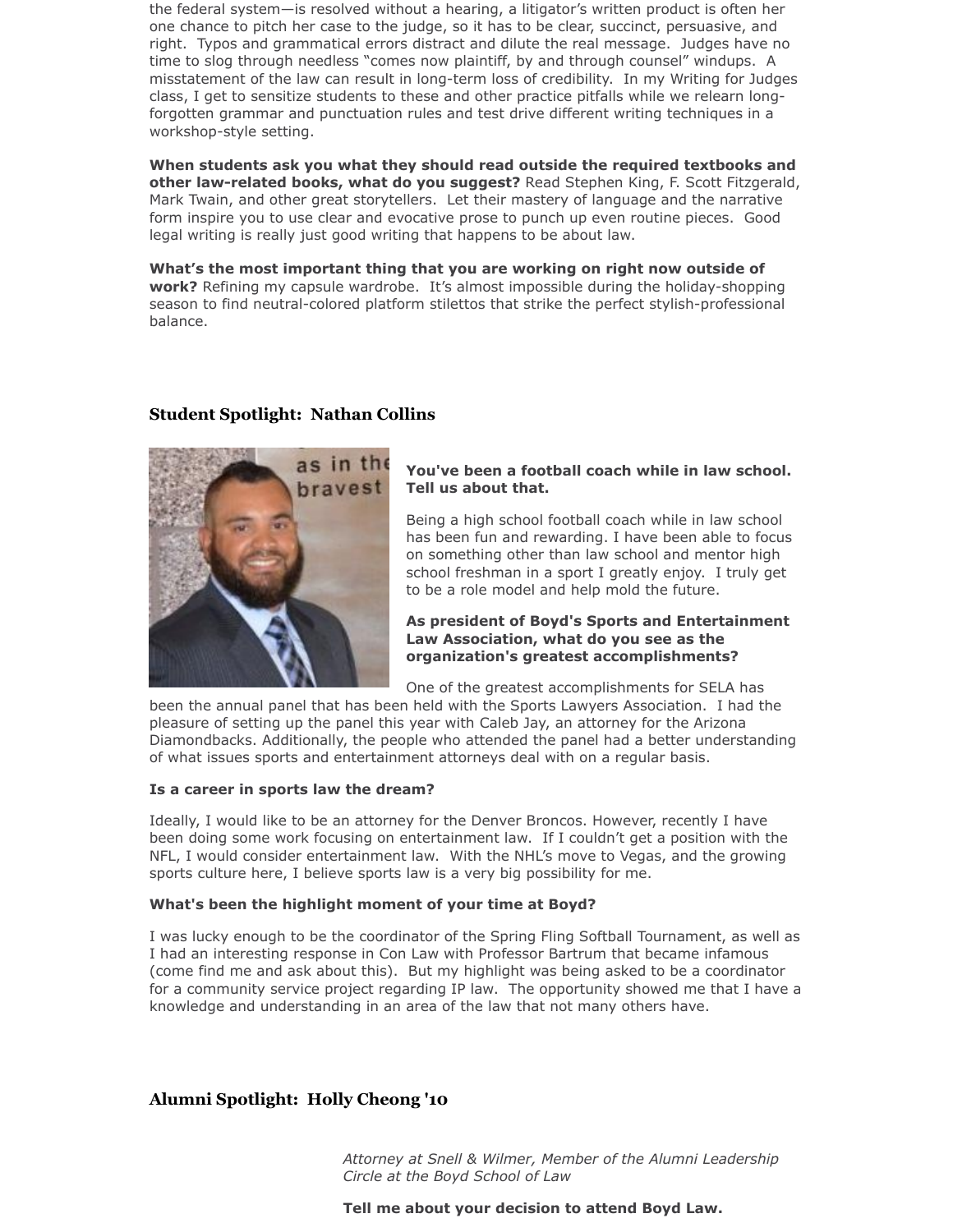the federal system—is resolved without a hearing, a litigator's written product is often her one chance to pitch her case to the judge, so it has to be clear, succinct, persuasive, and right. Typos and grammatical errors distract and dilute the real message. Judges have no time to slog through needless "comes now plaintiff, by and through counsel" windups. A misstatement of the law can result in long-term loss of credibility. In my Writing for Judges class, I get to sensitize students to these and other practice pitfalls while we relearn longforgotten grammar and punctuation rules and test drive different writing techniques in a workshop-style setting.

**When students ask you what they should read outside the required textbooks and other law-related books, what do you suggest?** Read Stephen King, F. Scott Fitzgerald, Mark Twain, and other great storytellers. Let their mastery of language and the narrative form inspire you to use clear and evocative prose to punch up even routine pieces. Good legal writing is really just good writing that happens to be about law.

**What's the most important thing that you are working on right now outside of work?** Refining my capsule wardrobe. It's almost impossible during the holiday-shopping season to find neutral-colored platform stilettos that strike the perfect stylish-professional balance.

## **Student Spotlight: Nathan Collins**



## **You've been a football coach while in law school. Tell us about that.**

Being a high school football coach while in law school has been fun and rewarding. I have been able to focus on something other than law school and mentor high school freshman in a sport I greatly enjoy. I truly get to be a role model and help mold the future.

## **As president of Boyd's Sports and Entertainment Law Association, what do you see as the organization's greatest accomplishments?**

One of the greatest accomplishments for SELA has

been the annual panel that has been held with the Sports Lawyers Association. I had the pleasure of setting up the panel this year with Caleb Jay, an attorney for the Arizona Diamondbacks. Additionally, the people who attended the panel had a better understanding of what issues sports and entertainment attorneys deal with on a regular basis.

#### **Is a career in sports law the dream?**

Ideally, I would like to be an attorney for the Denver Broncos. However, recently I have been doing some work focusing on entertainment law. If I couldn't get a position with the NFL, I would consider entertainment law. With the NHL's move to Vegas, and the growing sports culture here, I believe sports law is a very big possibility for me.

#### **What's been the highlight moment of your time at Boyd?**

I was lucky enough to be the coordinator of the Spring Fling Softball Tournament, as well as I had an interesting response in Con Law with Professor Bartrum that became infamous (come find me and ask about this). But my highlight was being asked to be a coordinator for a community service project regarding IP law. The opportunity showed me that I have a knowledge and understanding in an area of the law that not many others have.

# **Alumni Spotlight: Holly Cheong '10**

*Attorney at Snell & Wilmer, Member of the Alumni Leadership Circle at the Boyd School of Law*

**Tell me about your decision to attend Boyd Law.**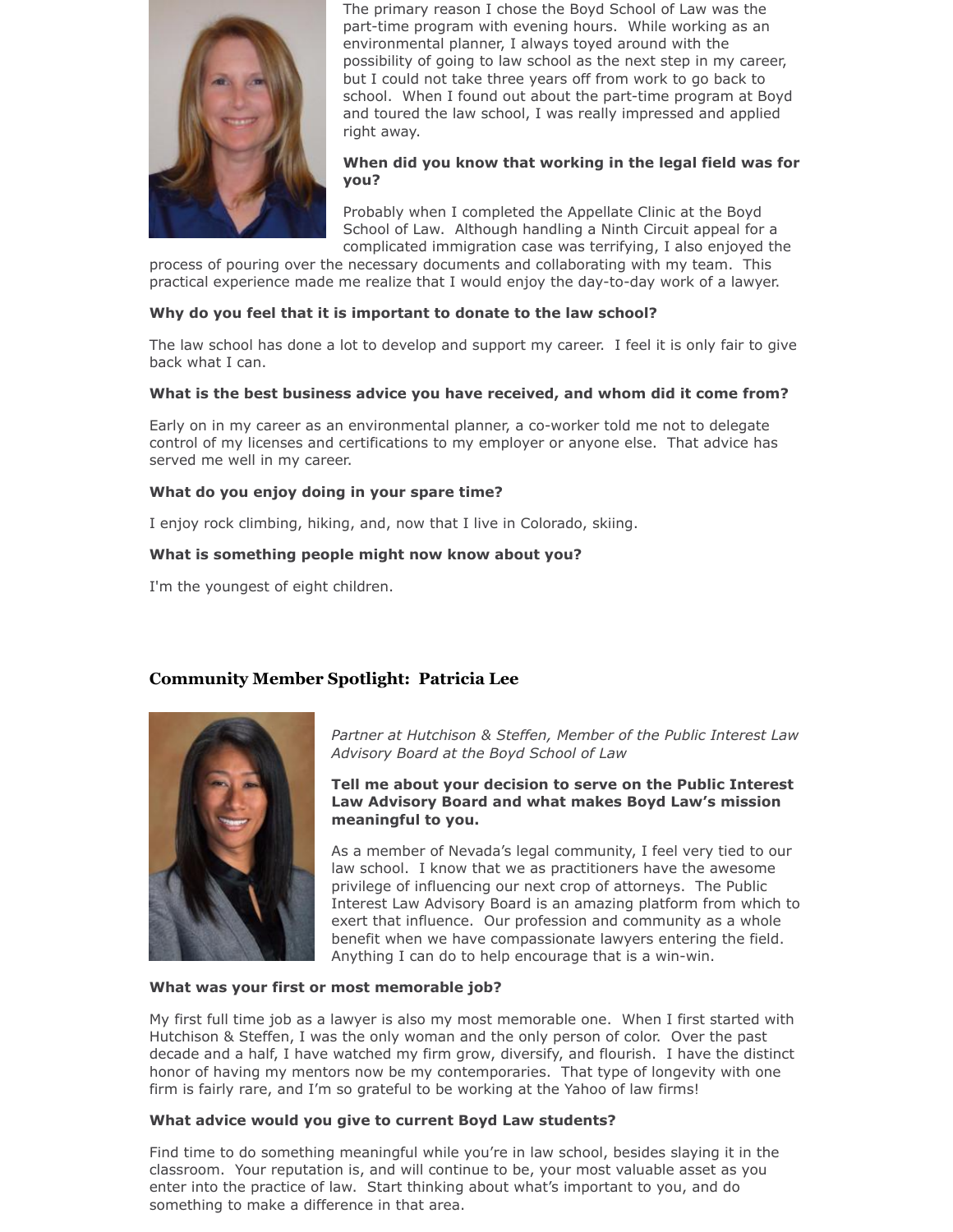

The primary reason I chose the Boyd School of Law was the part-time program with evening hours. While working as an environmental planner, I always toyed around with the possibility of going to law school as the next step in my career, but I could not take three years off from work to go back to school. When I found out about the part-time program at Boyd and toured the law school, I was really impressed and applied right away.

## **When did you know that working in the legal field was for you?**

Probably when I completed the Appellate Clinic at the Boyd School of Law. Although handling a Ninth Circuit appeal for a complicated immigration case was terrifying, I also enjoyed the

process of pouring over the necessary documents and collaborating with my team. This practical experience made me realize that I would enjoy the day-to-day work of a lawyer.

## **Why do you feel that it is important to donate to the law school?**

The law school has done a lot to develop and support my career. I feel it is only fair to give back what I can.

#### **What is the best business advice you have received, and whom did it come from?**

Early on in my career as an environmental planner, a co-worker told me not to delegate control of my licenses and certifications to my employer or anyone else. That advice has served me well in my career.

### **What do you enjoy doing in your spare time?**

I enjoy rock climbing, hiking, and, now that I live in Colorado, skiing.

### **What is something people might now know about you?**

I'm the youngest of eight children.

# **Community Member Spotlight: Patricia Lee**



*Partner at Hutchison & Steffen, Member of the Public Interest Law Advisory Board at the Boyd School of Law*

**Tell me about your decision to serve on the Public Interest Law Advisory Board and what makes Boyd Law's mission meaningful to you.**

As a member of Nevada's legal community, I feel very tied to our law school. I know that we as practitioners have the awesome privilege of influencing our next crop of attorneys. The Public Interest Law Advisory Board is an amazing platform from which to exert that influence. Our profession and community as a whole benefit when we have compassionate lawyers entering the field. Anything I can do to help encourage that is a win-win.

#### **What was your first or most memorable job?**

My first full time job as a lawyer is also my most memorable one. When I first started with Hutchison & Steffen, I was the only woman and the only person of color. Over the past decade and a half, I have watched my firm grow, diversify, and flourish. I have the distinct honor of having my mentors now be my contemporaries. That type of longevity with one firm is fairly rare, and I'm so grateful to be working at the Yahoo of law firms!

#### **What advice would you give to current Boyd Law students?**

Find time to do something meaningful while you're in law school, besides slaying it in the classroom. Your reputation is, and will continue to be, your most valuable asset as you enter into the practice of law. Start thinking about what's important to you, and do something to make a difference in that area.